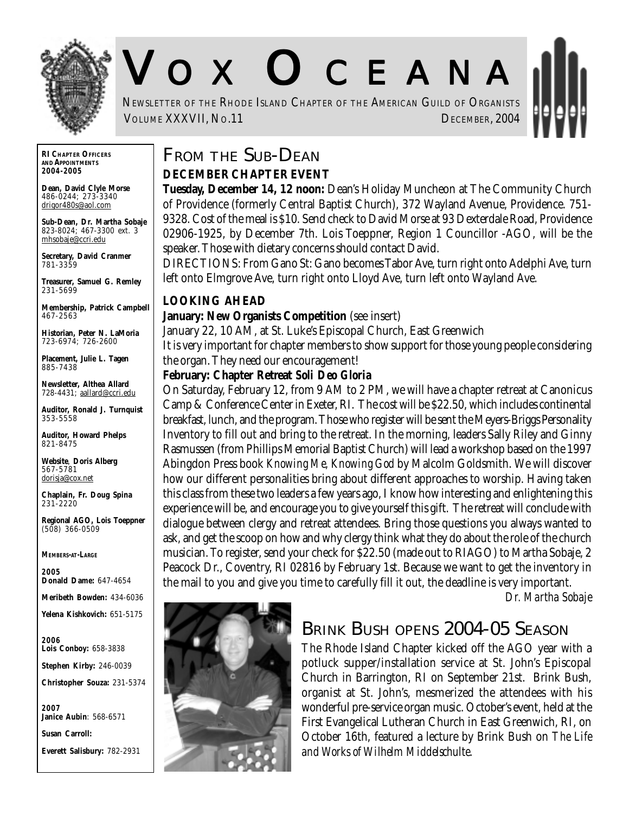

# V O X O CEANA

NEWSLETTER OF THE RHODE ISLAND CHAPTER OF THE AMERICAN GUILD OF ORGANISTS VOLUME XXXVII, No.11 DECEMBER, 2004

**RI CHAPTER OFFICERS AND APPOINTMENTS** *2004-2005*

**Dean, David Clyle Morse** 486-0244; 273-3340 drigor480s@aol.com

**Sub-Dean, Dr. Martha Sobaje** 823-8024; 467-3300 ext. 3 mhsobaje@ccri.edu

**Secretary, David Cranmer** 781-3359

**Treasurer, Samuel G. Remley** 231-5699

**Membership, Patrick Campbell** 467-2563

**Historian, Peter N. LaMoria** 723-6974; 726-2600

**Placement, Julie L. Tagen** 885-7438

**Newsletter, Althea Allard** 728-4431; aallard@ccri.edu

**Auditor, Ronald J. Turnquist** 353-5558

**Auditor, Howard Phelps** 821-8475

**Website**, **Doris Alberg** 567-5781 dorisja@cox.net

**Chaplain, Fr. Doug Spina** 231-2220

**Regional AGO, Lois Toeppner** (508) 366-0509

*MEMBERS-AT-LARGE*

*2005* **Donald Dame:** 647-4654

**Meribeth Bowden:** 434-6036

**Yelena Kishkovich:** 651-5175

*2006* **Lois Conboy:** 658-3838

**Stephen Kirby:** 246-0039

**Christopher Souza:** 231-5374

*2007* **Janice Aubin**: 568-6571

**Susan Carroll:**

**Everett Salisbury:** 782-2931

# **FROM THE SUB-DEAN**

#### **DECEMBER CHAPTER EVENT**

**Tuesday, December 14, 12 noon:** Dean's Holiday Muncheon at The Community Church of Providence (formerly Central Baptist Church), 372 Wayland Avenue, Providence. 751- 9328. Cost of the meal is \$10. Send check to David Morse at 93 Dexterdale Road, Providence 02906-1925, by December 7th. Lois Toeppner, Region 1 Councillor -AGO, will be the speaker. Those with dietary concerns should contact David.

DIRECTIONS: From Gano St: Gano becomes Tabor Ave, turn right onto Adelphi Ave, turn left onto Elmgrove Ave, turn right onto Lloyd Ave, turn left onto Wayland Ave.

#### **LOOKING AHEAD**

#### **January: New Organists Competition** (see insert)

January 22, 10 AM, at St. Luke's Episcopal Church, East Greenwich

It is very important for chapter members to show support for those young people considering the organ. They need our encouragement!

#### **February: Chapter Retreat** *Soli Deo Gloria*

On Saturday, February 12, from 9 AM to 2 PM, we will have a chapter retreat at Canonicus Camp & Conference Center in Exeter, RI. The cost will be \$22.50, which includes continental breakfast, lunch, and the program. Those who register will be sent the Meyers-Briggs Personality Inventory to fill out and bring to the retreat. In the morning, leaders Sally Riley and Ginny Rasmussen (from Phillips Memorial Baptist Church) will lead a workshop based on the 1997 Abingdon Press book *Knowing Me, Knowing God* by Malcolm Goldsmith. We will discover how our different personalities bring about different approaches to worship. Having taken this class from these two leaders a few years ago, I know how interesting and enlightening this experience will be, and encourage you to give yourself this gift. The retreat will conclude with dialogue between clergy and retreat attendees. Bring those questions you always wanted to ask, and get the scoop on how and why clergy think what they do about the role of the church musician. To register, send your check for \$22.50 (made out to RIAGO) to Martha Sobaje, 2 Peacock Dr., Coventry, RI 02816 by February 1st. Because we want to get the inventory in the mail to you and give you time to carefully fill it out, the deadline is very important.

*Dr. Martha Sobaje*



#### **BRINK BUSH OPENS 2004-05 SEASON**

The Rhode Island Chapter kicked off the AGO year with a potluck supper/installation service at St. John's Episcopal Church in Barrington, RI on September 21st. Brink Bush, organist at St. John's, mesmerized the attendees with his wonderful pre-service organ music. October's event, held at the First Evangelical Lutheran Church in East Greenwich, RI, on October 16th, featured a lecture by Brink Bush on *The Life and Works of Wilhelm Middelschulte*.